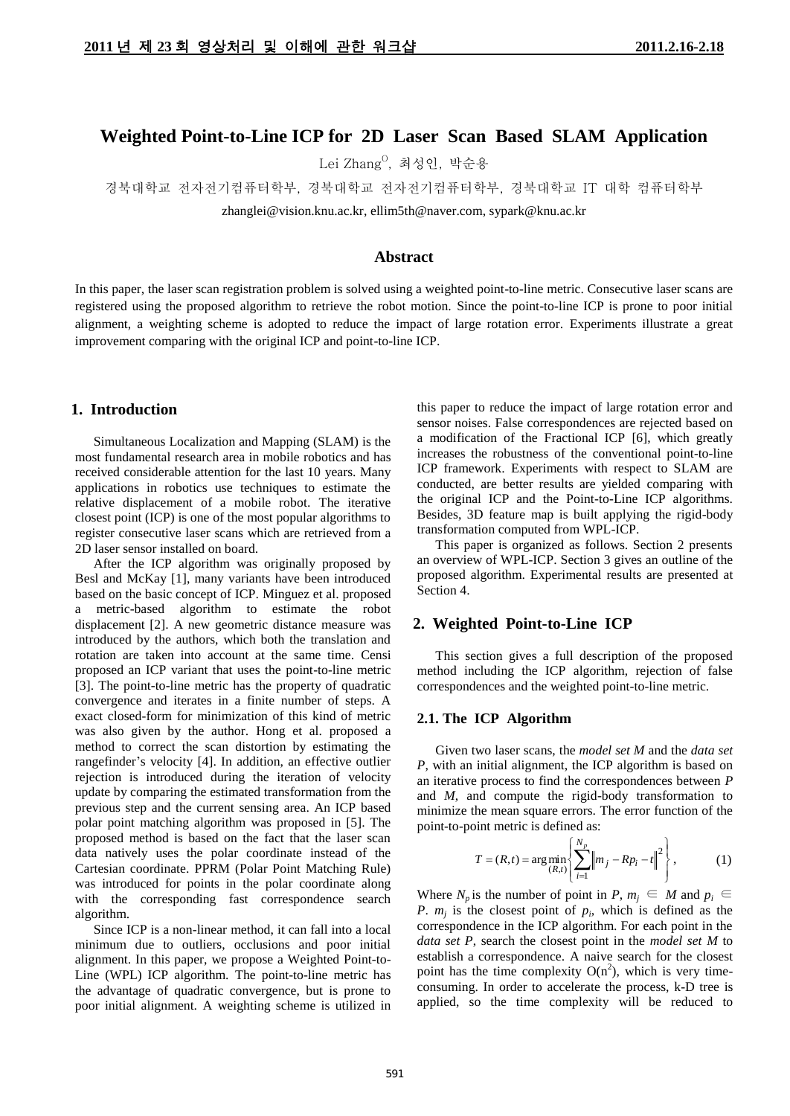# **Weighted Point-to-Line ICP for 2D Laser Scan Based SLAM Application**

Lei Zhang<sup>o</sup>, 최성인, 박순용

경북대학교 전자전기컴퓨터학부, 경북대학교 전자전기컴퓨터학부, 경북대학교 IT 대학 컴퓨터학부

zhanglei@vision.knu.ac.kr, ellim5th@naver.com, sypark@knu.ac.kr

# **Abstract**

In this paper, the laser scan registration problem is solved using a weighted point-to-line metric. Consecutive laser scans are registered using the proposed algorithm to retrieve the robot motion. Since the point-to-line ICP is prone to poor initial alignment, a weighting scheme is adopted to reduce the impact of large rotation error. Experiments illustrate a great improvement comparing with the original ICP and point-to-line ICP.

## **1. Introduction**

Simultaneous Localization and Mapping (SLAM) is the most fundamental research area in mobile robotics and has received considerable attention for the last 10 years. Many applications in robotics use techniques to estimate the relative displacement of a mobile robot. The iterative closest point (ICP) is one of the most popular algorithms to register consecutive laser scans which are retrieved from a 2D laser sensor installed on board.

After the ICP algorithm was originally proposed by Besl and McKay [1], many variants have been introduced based on the basic concept of ICP. Minguez et al. proposed a metric-based algorithm to estimate the robot displacement [2]. A new geometric distance measure was introduced by the authors, which both the translation and rotation are taken into account at the same time. Censi proposed an ICP variant that uses the point-to-line metric [3]. The point-to-line metric has the property of quadratic convergence and iterates in a finite number of steps. A exact closed-form for minimization of this kind of metric was also given by the author. Hong et al. proposed a method to correct the scan distortion by estimating the rangefinder's velocity [4]. In addition, an effective outlier rejection is introduced during the iteration of velocity update by comparing the estimated transformation from the previous step and the current sensing area. An ICP based polar point matching algorithm was proposed in [5]. The proposed method is based on the fact that the laser scan data natively uses the polar coordinate instead of the Cartesian coordinate. PPRM (Polar Point Matching Rule) was introduced for points in the polar coordinate along with the corresponding fast correspondence search algorithm.

Since ICP is a non-linear method, it can fall into a local minimum due to outliers, occlusions and poor initial alignment. In this paper, we propose a Weighted Point-to-Line (WPL) ICP algorithm. The point-to-line metric has the advantage of quadratic convergence, but is prone to poor initial alignment. A weighting scheme is utilized in this paper to reduce the impact of large rotation error and sensor noises. False correspondences are rejected based on a modification of the Fractional ICP [6], which greatly increases the robustness of the conventional point-to-line ICP framework. Experiments with respect to SLAM are conducted, are better results are yielded comparing with the original ICP and the Point-to-Line ICP algorithms. Besides, 3D feature map is built applying the rigid-body transformation computed from WPL-ICP.

This paper is organized as follows. Section 2 presents an overview of WPL-ICP. Section 3 gives an outline of the proposed algorithm. Experimental results are presented at Section 4.

#### **2. Weighted Point-to-Line ICP**

This section gives a full description of the proposed method including the ICP algorithm, rejection of false correspondences and the weighted point-to-line metric.

## **2.1. The ICP Algorithm**

Given two laser scans, the *model set M* and the *data set P*, with an initial alignment, the ICP algorithm is based on an iterative process to find the correspondences between *P* and *M*, and compute the rigid-body transformation to minimize the mean square errors. The error function of the point-to-point metric is defined as:

$$
T = (R, t) = \arg\min_{(R, t)} \left\{ \sum_{i=1}^{N_p} \left\| m_j - R p_i - t \right\|^2 \right\},
$$
 (1)

Where  $N_p$  is the number of point in  $P, m_i \in M$  and  $p_i \in$ *P*.  $m_j$  is the closest point of  $p_i$ , which is defined as the correspondence in the ICP algorithm. For each point in the *data set P*, search the closest point in the *model set M* to establish a correspondence. A naive search for the closest point has the time complexity  $O(n^2)$ , which is very timeconsuming. In order to accelerate the process, k-D tree is applied, so the time complexity will be reduced to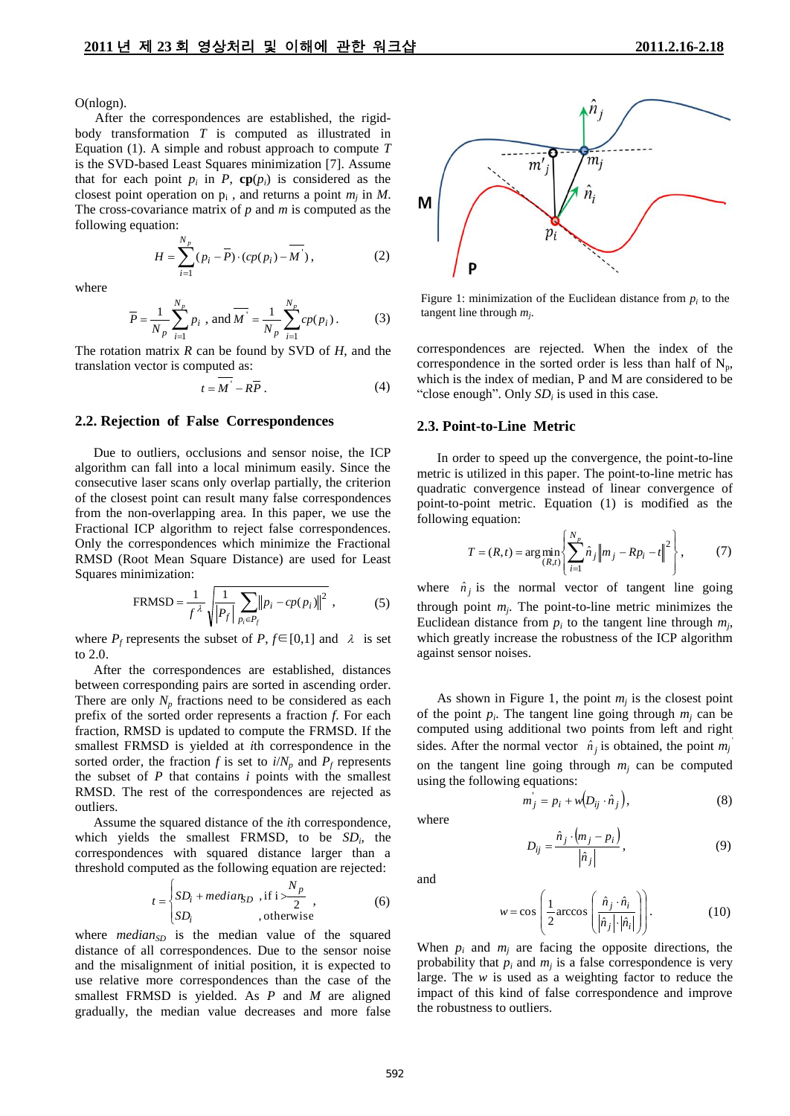O(nlogn).

After the correspondences are established, the rigidbody transformation *T* is computed as illustrated in Equation (1). A simple and robust approach to compute *T* is the SVD-based Least Squares minimization [7]. Assume that for each point  $p_i$  in  $P$ ,  $\mathbf{cp}(p_i)$  is considered as the closest point operation on  $p_i$ , and returns a point  $m_j$  in  $M$ . The cross-covariance matrix of *p* and *m* is computed as the following equation:

$$
H = \sum_{i=1}^{N_p} (p_i - \overline{P}) \cdot (cp(p_i) - \overline{M}^*) ,
$$
 (2)

where

$$
\overline{P} = \frac{1}{N_p} \sum_{i=1}^{N_p} p_i , \text{ and } \overline{M'} = \frac{1}{N_p} \sum_{i=1}^{N_p} cp(p_i).
$$
 (3)

The rotation matrix *R* can be found by SVD of *H*, and the translation vector is computed as:

$$
t = \overline{M'} - R\overline{P} . \tag{4}
$$

#### **2.2. Rejection of False Correspondences**

Due to outliers, occlusions and sensor noise, the ICP algorithm can fall into a local minimum easily. Since the consecutive laser scans only overlap partially, the criterion of the closest point can result many false correspondences from the non-overlapping area. In this paper, we use the Fractional ICP algorithm to reject false correspondences. Only the correspondences which minimize the Fractional RMSD (Root Mean Square Distance) are used for Least Squares minimization:

$$
FRMSD = \frac{1}{f^{\lambda}} \sqrt{\frac{1}{|P_f|} \sum_{p_i \in P_f} ||p_i - cp(p_i)||^2},
$$
 (5)

where  $P_f$  represents the subset of  $P, f \in [0,1]$  and  $\lambda$  is set to 2.0.

After the correspondences are established, distances between corresponding pairs are sorted in ascending order. There are only  $N_p$  fractions need to be considered as each prefix of the sorted order represents a fraction *f*. For each fraction, RMSD is updated to compute the FRMSD. If the smallest FRMSD is yielded at *i*th correspondence in the sorted order, the fraction *f* is set to  $i/N_p$  and  $P_f$  represents the subset of *P* that contains *i* points with the smallest RMSD. The rest of the correspondences are rejected as outliers.

Assume the squared distance of the *i*th correspondence, which yields the smallest FRMSD, to be  $SD_i$ , the correspondences with squared distance larger than a threshold computed as the following equation are rejected:

$$
t = \begin{cases} SD_i + median_{SD}, & \text{if } i > \frac{N_p}{2} \\ SD_i, & \text{otherwise} \end{cases}
$$
 (6)

where  $median_{SD}$  is the median value of the squared distance of all correspondences. Due to the sensor noise and the misalignment of initial position, it is expected to use relative more correspondences than the case of the smallest FRMSD is yielded. As *P* and *M* are aligned gradually, the median value decreases and more false



Figure 1: minimization of the Euclidean distance from  $p_i$  to the tangent line through *m<sup>j</sup>* .

correspondences are rejected. When the index of the correspondence in the sorted order is less than half of  $N_p$ , which is the index of median, P and M are considered to be "close enough". Only  $SD_i$  is used in this case.

#### **2.3. Point-to-Line Metric**

 In order to speed up the convergence, the point-to-line metric is utilized in this paper. The point-to-line metric has quadratic convergence instead of linear convergence of point-to-point metric. Equation (1) is modified as the following equation:

$$
T = (R, t) = \arg\min_{(R, t)} \left\{ \sum_{i=1}^{N_p} \hat{n}_j \left\| m_j - R p_i - t \right\|^2 \right\},\tag{7}
$$

where  $\hat{n}_j$  is the normal vector of tangent line going through point *m<sup>j</sup>* . The point-to-line metric minimizes the Euclidean distance from  $p_i$  to the tangent line through  $m_j$ , which greatly increase the robustness of the ICP algorithm against sensor noises.

As shown in Figure 1, the point  $m_j$  is the closest point of the point  $p_i$ . The tangent line going through  $m_j$  can be computed using additional two points from left and right sides. After the normal vector  $\hat{n}_j$  is obtained, the point  $m_j$ on the tangent line going through  $m_j$  can be computed using the following equations:

$$
m_j = p_i + w(D_{ij} \cdot \hat{n}_j), \qquad (8)
$$

where

$$
D_{ij} = \frac{\hat{n}_j \cdot (m_j - p_i)}{|\hat{n}_j|},\tag{9}
$$

and

$$
w = \cos\left(\frac{1}{2}\arccos\left(\frac{\hat{n}_j \cdot \hat{n}_i}{|\hat{n}_j| \cdot |\hat{n}_i|}\right)\right).
$$
 (10)

When  $p_i$  and  $m_j$  are facing the opposite directions, the probability that  $p_i$  and  $m_j$  is a false correspondence is very large. The *w* is used as a weighting factor to reduce the impact of this kind of false correspondence and improve the robustness to outliers.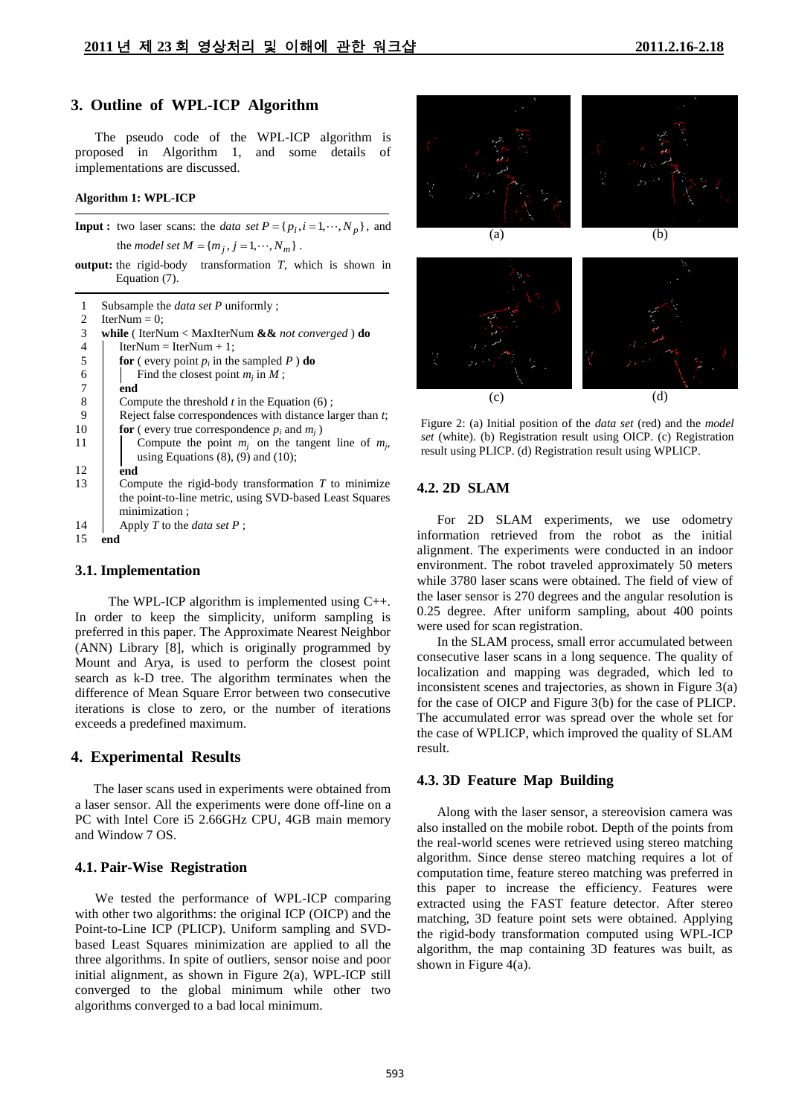## **3. Outline of WPL-ICP Algorithm**

The pseudo code of the WPL-ICP algorithm is proposed in Algorithm 1, and some details of implementations are discussed.

#### **Algorithm 1: WPL-ICP**

**Input :** two laser scans: the *data set*  $P = \{p_i, i = 1, \dots, N_p\}$ , and the *model set*  $M = \{m_j, j = 1, \dots, N_m\}$ .

**output:** the rigid-body transformation *T*, which is shown in Equation (7).

| 1                        | Subsample the <i>data set P</i> uniformly;                                 |
|--------------------------|----------------------------------------------------------------------------|
| 2                        | IterNum $= 0$ :                                                            |
| 3                        | <b>while</b> (IterNum < MaxIterNum $\&\&$ <i>not converged</i> ) <b>do</b> |
| $\overline{\mathcal{A}}$ | $IterNum = IterNum + 1$ ;                                                  |
| 5                        | <b>for</b> (every point p <sub>i</sub> in the sampled P) <b>do</b>         |
| 6                        | Find the closest point $m_i$ in M;                                         |
| $\overline{7}$           | end                                                                        |
| 8                        | Compute the threshold $t$ in the Equation $(6)$ ;                          |
| 9                        | Reject false correspondences with distance larger than t;                  |
| 10                       | <b>for</b> (every true correspondence $p_i$ and $m_i$ )                    |
| 11                       | Compute the point $m_i$ on the tangent line of $m_i$ ,                     |
|                          | using Equations $(8)$ , $(9)$ and $(10)$ ;                                 |
| 12                       | end                                                                        |
| 13                       | Compute the rigid-body transformation $T$ to minimize                      |
|                          | the point-to-line metric, using SVD-based Least Squares                    |
|                          | minimization:                                                              |
| 14                       | Apply $T$ to the <i>data set</i> $P$ ;                                     |
| 15                       | end                                                                        |

### **3.1. Implementation**

 The WPL-ICP algorithm is implemented using C++. In order to keep the simplicity, uniform sampling is preferred in this paper. The Approximate Nearest Neighbor (ANN) Library [8], which is originally programmed by Mount and Arya, is used to perform the closest point search as k-D tree. The algorithm terminates when the difference of Mean Square Error between two consecutive iterations is close to zero, or the number of iterations exceeds a predefined maximum.

#### **4. Experimental Results**

The laser scans used in experiments were obtained from a laser sensor. All the experiments were done off-line on a PC with Intel Core i5 2.66GHz CPU, 4GB main memory and Window 7 OS.

#### **4.1. Pair-Wise Registration**

 We tested the performance of WPL-ICP comparing with other two algorithms: the original ICP (OICP) and the Point-to-Line ICP (PLICP). Uniform sampling and SVDbased Least Squares minimization are applied to all the three algorithms. In spite of outliers, sensor noise and poor initial alignment, as shown in Figure 2(a), WPL-ICP still converged to the global minimum while other two algorithms converged to a bad local minimum.





Figure 2: (a) Initial position of the *data set* (red) and the *model set* (white). (b) Registration result using OICP. (c) Registration result using PLICP. (d) Registration result using WPLICP.

## **4.2. 2D SLAM**

 For 2D SLAM experiments, we use odometry information retrieved from the robot as the initial alignment. The experiments were conducted in an indoor environment. The robot traveled approximately 50 meters while 3780 laser scans were obtained. The field of view of the laser sensor is 270 degrees and the angular resolution is 0.25 degree. After uniform sampling, about 400 points were used for scan registration.

 In the SLAM process, small error accumulated between consecutive laser scans in a long sequence. The quality of localization and mapping was degraded, which led to inconsistent scenes and trajectories, as shown in Figure 3(a) for the case of OICP and Figure 3(b) for the case of PLICP. The accumulated error was spread over the whole set for the case of WPLICP, which improved the quality of SLAM result.

#### **4.3. 3D Feature Map Building**

 Along with the laser sensor, a stereovision camera was also installed on the mobile robot. Depth of the points from the real-world scenes were retrieved using stereo matching algorithm. Since dense stereo matching requires a lot of computation time, feature stereo matching was preferred in this paper to increase the efficiency. Features were extracted using the FAST feature detector. After stereo matching, 3D feature point sets were obtained. Applying the rigid-body transformation computed using WPL-ICP algorithm, the map containing 3D features was built, as shown in Figure 4(a).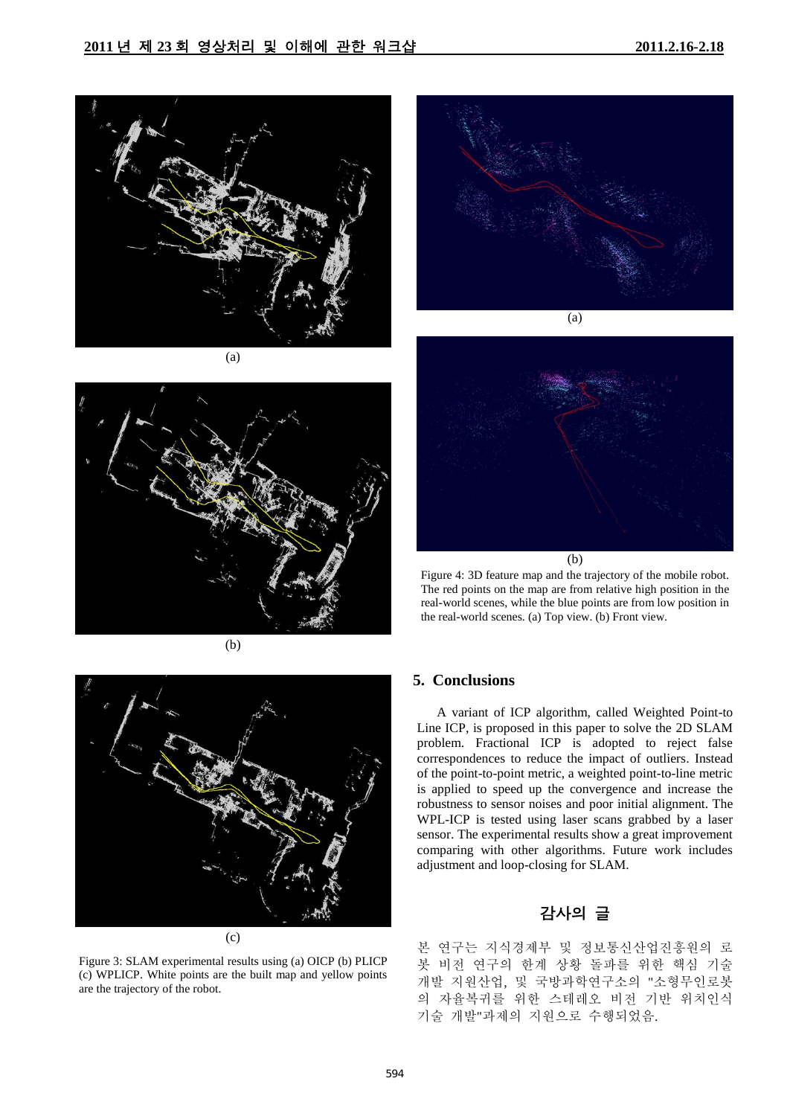

(a)



(b)



(b)

Figure 4: 3D feature map and the trajectory of the mobile robot. The red points on the map are from relative high position in the real-world scenes, while the blue points are from low position in the real-world scenes. (a) Top view. (b) Front view.



Figure 3: SLAM experimental results using (a) OICP (b) PLICP (c) WPLICP. White points are the built map and yellow points are the trajectory of the robot.

# **5. Conclusions**

A variant of ICP algorithm, called Weighted Point-to Line ICP, is proposed in this paper to solve the 2D SLAM problem. Fractional ICP is adopted to reject false correspondences to reduce the impact of outliers. Instead of the point-to-point metric, a weighted point-to-line metric is applied to speed up the convergence and increase the robustness to sensor noises and poor initial alignment. The WPL-ICP is tested using laser scans grabbed by a laser sensor. The experimental results show a great improvement comparing with other algorithms. Future work includes adjustment and loop-closing for SLAM.

# 감사의 글

본 연구는 지식경제부 및 정보통신산업진흥원의 로 봇 비전 연구의 한계 상황 돌파를 위한 핵심 기술 개발 지원산업, 및 국방과학연구소의 "소형무인로봇 의 자율복귀를 위한 스테레오 비전 기반 위치인식 기술 개발"과제의 지원으로 수행되었음.